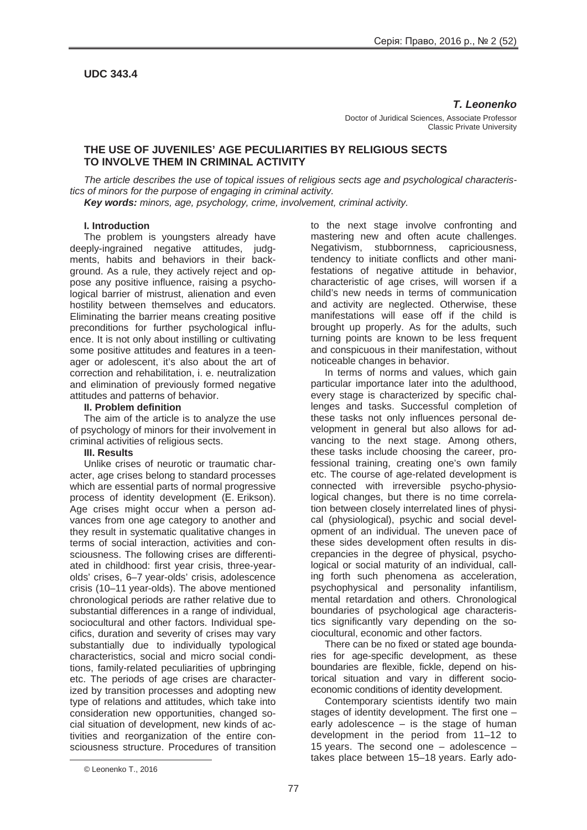# **UDC 343.4**

### *T. Leonenko*

Doctor of Juridical Sciences, Associate Professor Classic Private University

# **THE USE OF JUVENILES' AGE PECULIARITIES BY RELIGIOUS SECTS TO INVOLVE THEM IN CRIMINAL ACTIVITY**

*The article describes the use of topical issues of religious sects age and psychological characteristics of minors for the purpose of engaging in criminal activity.*

*Key words: minors, age, psychology, crime, involvement, criminal activity.*

#### **I. Introduction**

The problem is youngsters already have deeply-ingrained negative attitudes, judgments, habits and behaviors in their background. As a rule, they actively reject and oppose any positive influence, raising a psychological barrier of mistrust, alienation and even hostility between themselves and educators. Eliminating the barrier means creating positive preconditions for further psychological influence. It is not only about instilling or cultivating some positive attitudes and features in a teenager or adolescent, it's also about the art of correction and rehabilitation, i. e. neutralization and elimination of previously formed negative attitudes and patterns of behavior.

### **II. Problem definition**

The aim of the article is to analyze the use of psychology of minors for their involvement in criminal activities of religious sects.

# **III. Results**

Unlike crises of neurotic or traumatic character, age crises belong to standard processes which are essential parts of normal progressive process of identity development (E. Erikson). Age crises might occur when a person advances from one age category to another and they result in systematic qualitative changes in terms of social interaction, activities and consciousness. The following crises are differentiated in childhood: first year crisis, three-yearolds' crises, 6–7 year-olds' crisis, adolescence crisis (10–11 year-olds). The above mentioned chronological periods are rather relative due to substantial differences in a range of individual, sociocultural and other factors. Individual specifics, duration and severity of crises may vary substantially due to individually typological characteristics, social and micro social conditions, family-related peculiarities of upbringing etc. The periods of age crises are characterized by transition processes and adopting new type of relations and attitudes, which take into consideration new opportunities, changed social situation of development, new kinds of activities and reorganization of the entire consciousness structure. Procedures of transition

to the next stage involve confronting and mastering new and often acute challenges. Negativism, stubbornness, capriciousness, tendency to initiate conflicts and other manifestations of negative attitude in behavior, characteristic of age crises, will worsen if a child's new needs in terms of communication and activity are neglected. Otherwise, these manifestations will ease off if the child is brought up properly. As for the adults, such turning points are known to be less frequent and conspicuous in their manifestation, without noticeable changes in behavior.

In terms of norms and values, which gain particular importance later into the adulthood, every stage is characterized by specific challenges and tasks. Successful completion of these tasks not only influences personal development in general but also allows for advancing to the next stage. Among others, these tasks include choosing the career, professional training, creating one's own family etc. The course of age-related development is connected with irreversible psycho-physiological changes, but there is no time correlation between closely interrelated lines of physical (physiological), psychic and social development of an individual. The uneven pace of these sides development often results in discrepancies in the degree of physical, psychological or social maturity of an individual, calling forth such phenomena as acceleration, psychophysical and personality infantilism, mental retardation and others. Chronological boundaries of psychological age characteristics significantly vary depending on the sociocultural, economic and other factors.

There can be no fixed or stated age boundaries for age-specific development, as these boundaries are flexible, fickle, depend on historical situation and vary in different socioeconomic conditions of identity development.

Contemporary scientists identify two main stages of identity development. The first one – early adolescence  $-$  is the stage of human development in the period from 11–12 to 15 years. The second one – adolescence – takes place between 15–18 years. Early ado-

 $\overline{a}$ 

<sup>©</sup> Leonenko T., 2016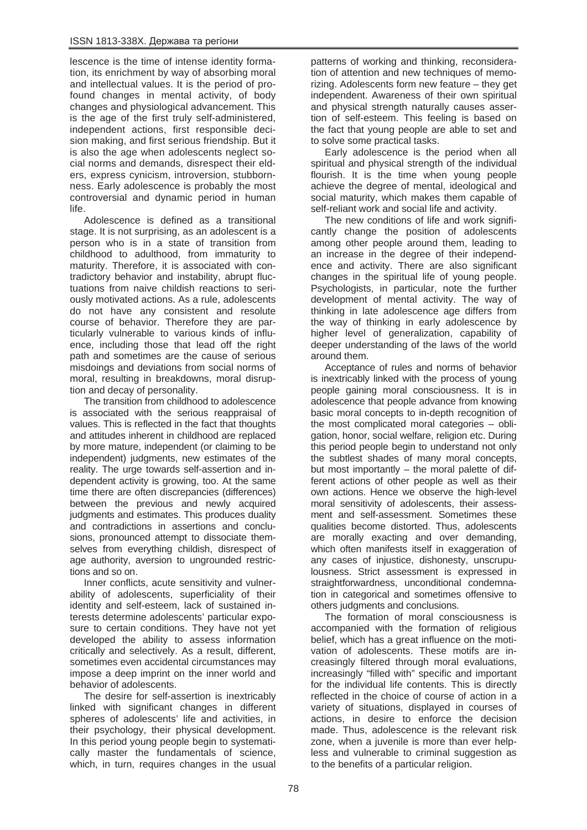lescence is the time of intense identity formation, its enrichment by way of absorbing moral and intellectual values. It is the period of profound changes in mental activity, of body changes and physiological advancement. This is the age of the first truly self-administered, independent actions, first responsible decision making, and first serious friendship. But it is also the age when adolescents neglect social norms and demands, disrespect their elders, express cynicism, introversion, stubbornness. Early adolescence is probably the most controversial and dynamic period in human life.

Adolescence is defined as a transitional stage. It is not surprising, as an adolescent is a person who is in a state of transition from childhood to adulthood, from immaturity to maturity. Therefore, it is associated with contradictory behavior and instability, abrupt fluctuations from naive childish reactions to seriously motivated actions. As a rule, adolescents do not have any consistent and resolute course of behavior. Therefore they are particularly vulnerable to various kinds of influence, including those that lead off the right path and sometimes are the cause of serious misdoings and deviations from social norms of moral, resulting in breakdowns, moral disruption and decay of personality.

The transition from childhood to adolescence is associated with the serious reappraisal of values. This is reflected in the fact that thoughts and attitudes inherent in childhood are replaced by more mature, independent (or claiming to be independent) judgments, new estimates of the reality. The urge towards self-assertion and independent activity is growing, too. At the same time there are often discrepancies (differences) between the previous and newly acquired judgments and estimates. This produces duality and contradictions in assertions and conclusions, pronounced attempt to dissociate themselves from everything childish, disrespect of age authority, aversion to ungrounded restrictions and so on.

Inner conflicts, acute sensitivity and vulnerability of adolescents, superficiality of their identity and self-esteem, lack of sustained interests determine adolescents' particular exposure to certain conditions. They have not yet developed the ability to assess information critically and selectively. As a result, different, sometimes even accidental circumstances may impose a deep imprint on the inner world and behavior of adolescents.

The desire for self-assertion is inextricably linked with significant changes in different spheres of adolescents' life and activities, in their psychology, their physical development. In this period young people begin to systematically master the fundamentals of science, which, in turn, requires changes in the usual patterns of working and thinking, reconsideration of attention and new techniques of memorizing. Adolescents form new feature – they get independent. Awareness of their own spiritual and physical strength naturally causes assertion of self-esteem. This feeling is based on the fact that young people are able to set and to solve some practical tasks.

Early adolescence is the period when all spiritual and physical strength of the individual flourish. It is the time when young people achieve the degree of mental, ideological and social maturity, which makes them capable of self-reliant work and social life and activity.

The new conditions of life and work significantly change the position of adolescents among other people around them, leading to an increase in the degree of their independence and activity. There are also significant changes in the spiritual life of young people. Psychologists, in particular, note the further development of mental activity. The way of thinking in late adolescence age differs from the way of thinking in early adolescence by higher level of generalization, capability of deeper understanding of the laws of the world around them.

Acceptance of rules and norms of behavior is inextricably linked with the process of young people gaining moral consciousness. It is in adolescence that people advance from knowing basic moral concepts to in-depth recognition of the most complicated moral categories – obligation, honor, social welfare, religion etc. During this period people begin to understand not only the subtlest shades of many moral concepts, but most importantly – the moral palette of different actions of other people as well as their own actions. Hence we observe the high-level moral sensitivity of adolescents, their assessment and self-assessment. Sometimes these qualities become distorted. Thus, adolescents are morally exacting and over demanding, which often manifests itself in exaggeration of any cases of injustice, dishonesty, unscrupulousness. Strict assessment is expressed in straightforwardness, unconditional condemnation in categorical and sometimes offensive to others judgments and conclusions.

The formation of moral consciousness is accompanied with the formation of religious belief, which has a great influence on the motivation of adolescents. These motifs are increasingly filtered through moral evaluations, increasingly "filled with" specific and important for the individual life contents. This is directly reflected in the choice of course of action in a variety of situations, displayed in courses of actions, in desire to enforce the decision made. Thus, adolescence is the relevant risk zone, when a juvenile is more than ever helpless and vulnerable to criminal suggestion as to the benefits of a particular religion.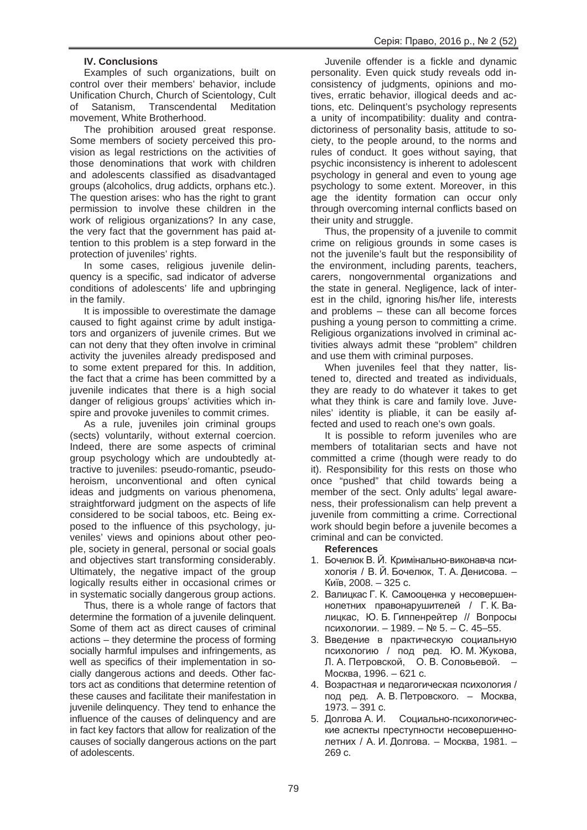## **IV. Conclusions**

Examples of such organizations, built on control over their members' behavior, include Unification Church, Church of Scientology, Cult of Satanism, Transcendental Meditation movement, White Brotherhood.

The prohibition aroused great response. Some members of society perceived this provision as legal restrictions on the activities of those denominations that work with children and adolescents classified as disadvantaged groups (alcoholics, drug addicts, orphans etc.). The question arises: who has the right to grant permission to involve these children in the work of religious organizations? In any case, the very fact that the government has paid attention to this problem is a step forward in the protection of juveniles' rights.

In some cases, religious juvenile delinquency is a specific, sad indicator of adverse conditions of adolescents' life and upbringing in the family.

It is impossible to overestimate the damage caused to fight against crime by adult instigators and organizers of juvenile crimes. But we can not deny that they often involve in criminal activity the juveniles already predisposed and to some extent prepared for this. In addition, the fact that a crime has been committed by a juvenile indicates that there is a high social danger of religious groups' activities which inspire and provoke juveniles to commit crimes.

As a rule, juveniles join criminal groups (sects) voluntarily, without external coercion. Indeed, there are some aspects of criminal group psychology which are undoubtedly attractive to juveniles: pseudo-romantic, pseudoheroism, unconventional and often cynical ideas and judgments on various phenomena, straightforward judgment on the aspects of life considered to be social taboos, etc. Being exposed to the influence of this psychology, juveniles' views and opinions about other people, society in general, personal or social goals and objectives start transforming considerably. Ultimately, the negative impact of the group logically results either in occasional crimes or in systematic socially dangerous group actions.

Thus, there is a whole range of factors that determine the formation of a juvenile delinquent. Some of them act as direct causes of criminal actions – they determine the process of forming socially harmful impulses and infringements, as well as specifics of their implementation in socially dangerous actions and deeds. Other factors act as conditions that determine retention of these causes and facilitate their manifestation in juvenile delinquency. They tend to enhance the influence of the causes of delinquency and are in fact key factors that allow for realization of the causes of socially dangerous actions on the part of adolescents.

Juvenile offender is a fickle and dynamic personality. Even quick study reveals odd inconsistency of judgments, opinions and motives, erratic behavior, illogical deeds and actions, etc. Delinquent's psychology represents a unity of incompatibility: duality and contradictoriness of personality basis, attitude to society, to the people around, to the norms and rules of conduct. It goes without saying, that psychic inconsistency is inherent to adolescent psychology in general and even to young age psychology to some extent. Moreover, in this age the identity formation can occur only through overcoming internal conflicts based on their unity and struggle.

Thus, the propensity of a juvenile to commit crime on religious grounds in some cases is not the juvenile's fault but the responsibility of the environment, including parents, teachers, carers, nongovernmental organizations and the state in general. Negligence, lack of interest in the child, ignoring his/her life, interests and problems – these can all become forces pushing a young person to committing a crime. Religious organizations involved in criminal activities always admit these "problem" children and use them with criminal purposes.

When juveniles feel that they natter, listened to, directed and treated as individuals, they are ready to do whatever it takes to get what they think is care and family love. Juveniles' identity is pliable, it can be easily affected and used to reach one's own goals.

It is possible to reform juveniles who are members of totalitarian sects and have not committed a crime (though were ready to do it). Responsibility for this rests on those who once "pushed" that child towards being a member of the sect. Only adults' legal awareness, their professionalism can help prevent a juvenile from committing a crime. Correctional work should begin before a juvenile becomes a criminal and can be convicted.

# **References**

- 1. Бочелюк В. Й. Кримінально-виконавча психологія / В. Й. Бочелюк, Т. А. Денисова. – Київ. 2008. – 325 с.
- 2. Валицкас Г. К. Самооценка у несовершеннолетних правонарушителей / Г. К. Валицкас, Ю. Б. Гиппенрейтер // Вопросы психологии. – 1989. – № 5. – С. 45–55.
- 3. Введение в практическую социальную психологию / под ред. Ю. М. Жукова, Л. А. Петровской, О. В. Соловьевой. Москва, 1996. – 621 с.
- 4. Возрастная и педагогическая психология / под ред. А. В. Петровского. – Москва,  $1973. - 391$  c.
- 5. Долгова А. И. Социально-психологические аспекты преступности несовершеннолетних / А. И. Долгова. – Москва, 1981. –  $269 c.$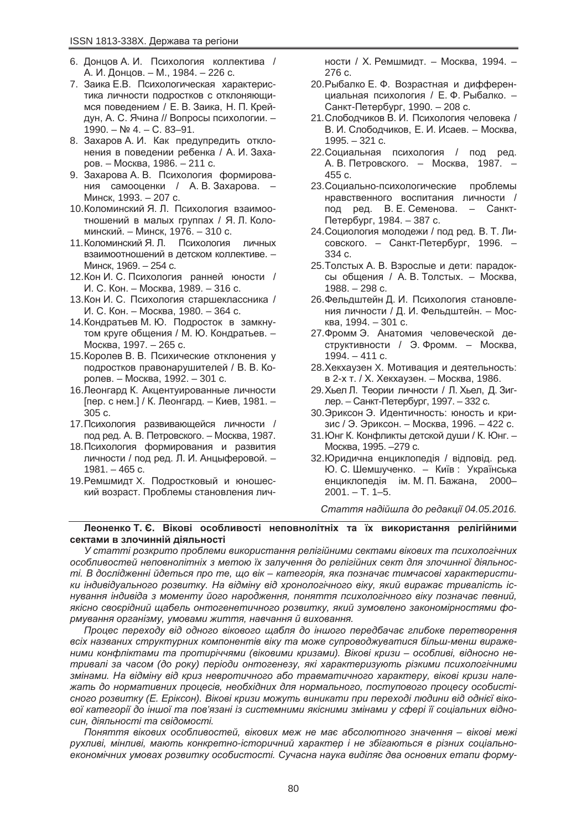- 6. Донцов А. И. Психология коллектива / А. И. Донцов. – М., 1984. – 226 с.
- 7. Заика Е.В. Психологическая характеристика личности подростков с отклоняющимся поведением / Е. В. Заика, Н. П. Крейдун, А. С. Ячина // Вопросы психологии. –  $1990. - Ne 4. - C. 83 - 91.$
- 8. Захаров А. И. Как предупредить отклонения в поведении ребенка / А. И. Захаров. – Москва, 1986. – 211 с.
- 9. Захарова А. В. Психология формирования самооценки / А. В. Захарова. – Минск, 1993. – 207 с.
- 10. Коломинский Я. Л. Психология взаимоотношений в малых группах / Я. Л. Коломинский. – Минск, 1976. – 310 с.
- 11. Коломинский Я. Л. Психология личных взаимоотношений в детском коллективе. -Минск, 1969. – 254 с.
- 12. Кон И. С. Психология ранней юности / И. С. Кон. – Москва, 1989. – 316 с.
- 13. Кон И. С. Психология старшеклассника / И. С. Кон. – Москва, 1980. – 364 с.
- 14. Кондратьев М. Ю. Подросток в замкнутом круге общения / М. Ю. Кондратьев. -Москва, 1997. – 265 с.
- 15. Королев В. В. Психические отклонения у подростков правонарушителей / В. В. Королев. – Москва, 1992. – 301 с.
- 16. Леонгард К. Акцентуированные личности [пер. с нем.] / К. Леонгард. – Киев, 1981. – 305 c.
- 17. Психология развивающейся личности / под ред. А. В. Петровского. – Москва, 1987.
- 18. Психология формирования и развития личности / под ред. Л. И. Анцыферовой. –  $1981. - 465$  c.
- 19. Ремшмидт Х. Подростковый и юношеский возраст. Проблемы становления лич-

ности / Х. Ремшмидт. – Москва, 1994. – 276 c.

- 20. Рыбалко Е. Ф. Возрастная и дифференциальная психология / Е. Ф. Рыбалко. – Санкт-Петербург, 1990. – 208 с.
- 21. Слободчиков В. И. Психология человека / В. И. Слободчиков, Е. И. Исаев. – Москва,  $1995. - 321$  c.
- 22. Социальная психология / под ред. А. В. Петровского. – Москва, 1987. –  $455 c.$
- 23. Социально-психологические проблемы нравственного воспитания личности / под ред. В. Е. Семенова. – Санкт-Петербург, 1984. – 387 с.
- 24. Социология молодежи / под ред. В. Т. Лисовского. – Санкт-Петербург, 1996. – 334 c.
- 25. Толстых А. В. Взрослые и дети: парадоксы общения / А. В. Толстых. – Москва, 1988. – 298 c.
- 26. Фельдштейн Д. И. Психология становления личности / Д. И. Фельдштейн. – Мос- $KBa, 1994. - 301 c.$
- 27. Фромм Э. Анатомия человеческой де- $CTDVKTUBHOCTU / 3. Фромм. - Mockba.$  $1994. - 411$  c.
- 28. Хекхаузен Х. Мотивация и деятельность: в 2-х т. / Х. Хекхаузен. – Москва, 1986.
- 29. Хьел Л. Теории личности / Л. Хьел, Д. Зиглер. – Санкт-Петербург, 1997. – 332 с.
- 30. Эриксон Э. Идентичность: юность и кризис / Э. Эриксон. – Москва, 1996. – 422 с.
- 31. Юнг К. Конфликты детской души / К. Юнг. Москва, 1995. –279 с.
- 32. Юридична енциклопедія / відповід. ред. Ю. С. Шемшученко. – Київ: Українська енциклопедія ім. М. П. Бажана. 2000–  $2001. - T. 1 - 5.$

 $C$ таття надійшла до редакції 04.05.2016.

#### Леоненко Т. Є. Вікові особливості неповнолітніх та їх використання релігійними сектами в злочинній діяльності

У статті розкрито проблеми використання релігійними сектами вікових та психологічних *ɨɫɨɛɥɢɜɨɫɬɟɣ ɧɟɩɨɜɧɨɥɿɬɧɿɯ ɡ ɦɟɬɨɸ ʀɯ ɡɚɥɭɱɟɧɧɹ ɞɨ ɪɟɥɿɝɿɣɧɢɯ ɫɟɤɬ ɞɥɹ ɡɥɨɱɢɧɧɨʀ ɞɿɹɥɶɧɨɫmi. В дослідженні йдеться про те, що вік – категорія, яка позначає тимчасові характеристи*ки індивідуального розвитку. На відміну від хронологічного віку, який виражає тривалість іс*ɧɭɜɚɧɧɹ ɿɧɞɢɜɿɞɚ ɡ ɦɨɦɟɧɬɭ ɣɨɝɨ ɧɚɪɨɞɠɟɧɧɹ, ɩɨɧɹɬɬɹ ɩɫɢɯɨɥɨɝɿɱɧɨɝɨ ɜɿɤɭ ɩɨɡɧɚɱɚɽ ɩɟɜɧɢɣ,* якісно своєрідний щабель онтогенетичного розвитку, який зумовлено закономірностями фо $p$ мування організму, умовами життя, навчання й виховання.

 $\Pi$ роцес переходу від одного вікового щабля до іншого передбачає глибоке перетворення  $s$ сіх названих структурних компонентів віку та може супроводжуватися більш-менш вираже*ними конфліктами та протиріччями (віковими кризами). Вікові кризи – особливі, відносно не*тривалі за часом (до року) періоди онтогенезу, які характеризують різкими психологічними  $3$ мінами. На відміну від криз невротичного або травматичного характеру, вікові кризи нале $x$ ать до нормативних процесів, необхідних для нормального, поступового процесу особистісного розвитку (Е. Еріксон). Вікові кризи можуть виникати при переході людини від однієї віко $e$ ої категорії до іншої та пов'язані із системними якісними змінами у сфері її соціальних відно $c$ *uн*, діяльності та свідомості.

 $\Pi$ оняття вікових особливостей, вікових меж не має абсолютного значення – вікові межі  $pyx$ ливі, мінливі, мають конкретно-історичний характер і не збігаються в різних соціально $e$ кономічних умовах розвитку особистості. Сучасна наука виділяє два основних етапи форму